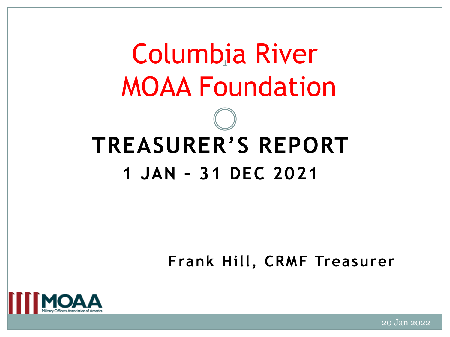# Columbia River 1 MOAA Foundation

## **TREASURER'S REPORT 1 JAN – 31 DEC 2021**

**Frank Hill, CRMF Treasurer**



20 Jan 2022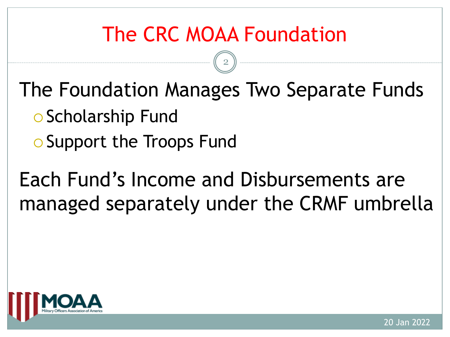### The CRC MOAA Foundation

2

The Foundation Manages Two Separate Funds

- o Scholarship Fund
- o Support the Troops Fund

Each Fund's Income and Disbursements are managed separately under the CRMF umbrella

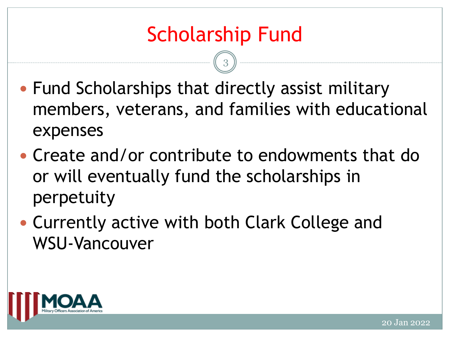- Fund Scholarships that directly assist military members, veterans, and families with educational expenses
- Create and/or contribute to endowments that do or will eventually fund the scholarships in perpetuity
- Currently active with both Clark College and WSU-Vancouver

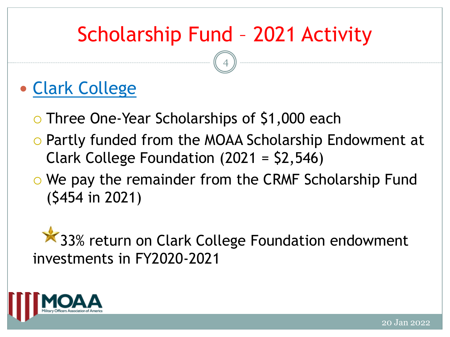### Scholarship Fund – 2021 Activity

4

#### Clark College

- o Three One-Year Scholarships of \$1,000 each
- Partly funded from the MOAA Scholarship Endowment at Clark College Foundation (2021 = \$2,546)
- o We pay the remainder from the CRMF Scholarship Fund (\$454 in 2021)

**X** 33% return on Clark College Foundation endowment investments in FY2020-2021

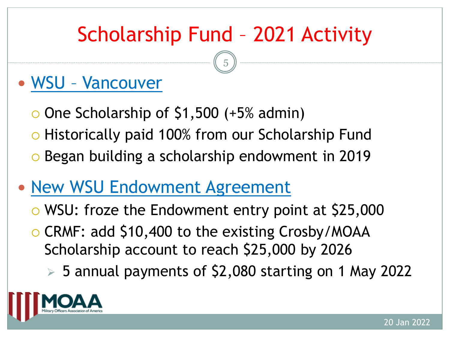### Scholarship Fund – 2021 Activity

5

#### WSU – Vancouver

- $\circ$  One Scholarship of \$1,500 (+5% admin)
- o Historically paid 100% from our Scholarship Fund o Began building a scholarship endowment in 2019
- New WSU Endowment Agreement
	- WSU: froze the Endowment entry point at \$25,000
	- o CRMF: add \$10,400 to the existing Crosby/MOAA Scholarship account to reach \$25,000 by 2026
		- $>$  5 annual payments of \$2,080 starting on 1 May 2022

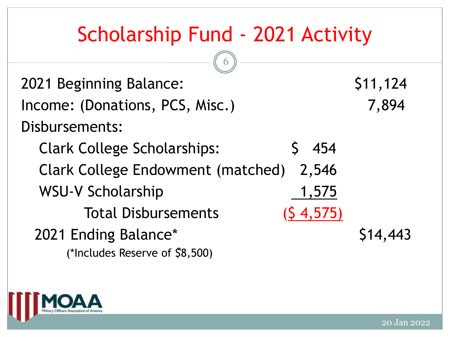### Scholarship Fund - 2021 Activity

6

2021 Beginning Balance: \$11,124 Income: (Donations, PCS, Misc.) 7,894 Disbursements: Clark College Scholarships: \$ 454 Clark College Endowment (matched) 2,546 WSU-V Scholarship 1,575 Total Disbursements (\$ 4,575) 2021 Ending Balance\* \* (\*Includes Reserve of \$8,500)\$14,443

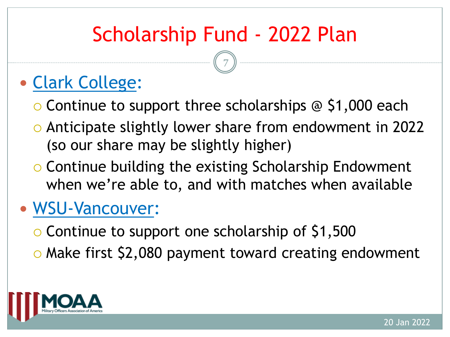### Scholarship Fund - 2022 Plan

7

#### Clark College:

- $\circ$  Continue to support three scholarships  $\circledcirc$  \$1,000 each
- Anticipate slightly lower share from endowment in 2022 (so our share may be slightly higher)
- o Continue building the existing Scholarship Endowment when we're able to, and with matches when available

#### WSU-Vancouver:

- $\circ$  Continue to support one scholarship of \$1,500
- o Make first \$2,080 payment toward creating endowment

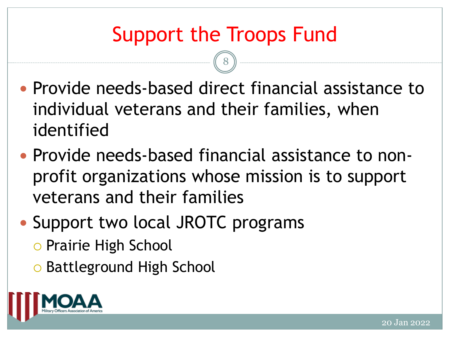### Support the Troops Fund

- Provide needs-based direct financial assistance to individual veterans and their families, when identified
- Provide needs-based financial assistance to nonprofit organizations whose mission is to support veterans and their families
- Support two local JROTC programs
	- o Prairie High School
	- o Battleground High School

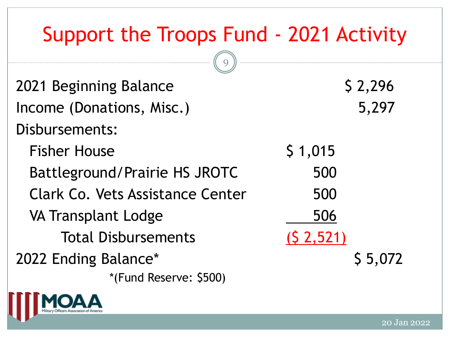### Support the Troops Fund - 2021 Activity

| 2021 Beginning Balance                  | \$2,296                |
|-----------------------------------------|------------------------|
| Income (Donations, Misc.)               | 5,297                  |
| Disbursements:                          |                        |
| <b>Fisher House</b>                     | \$1,015                |
| Battleground/Prairie HS JROTC           | 500                    |
| <b>Clark Co. Vets Assistance Center</b> | 500                    |
| <b>VA Transplant Lodge</b>              | 506                    |
| <b>Total Disbursements</b>              | (S <sub>2</sub> , 521) |
| 2022 Ending Balance*                    | \$5,072                |
| *(Fund Reserve: \$500)                  |                        |

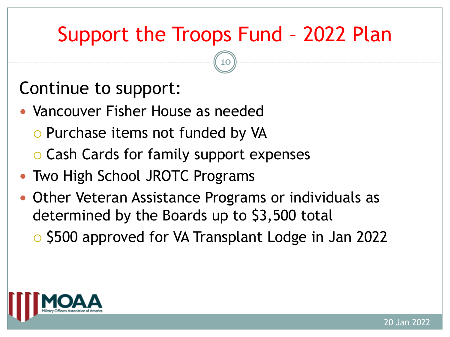### Support the Troops Fund – 2022 Plan

10

#### Continue to support:

- Vancouver Fisher House as needed
	- o Purchase items not funded by VA
	- o Cash Cards for family support expenses
- Two High School JROTC Programs
- Other Veteran Assistance Programs or individuals as determined by the Boards up to \$3,500 total
	- \$500 approved for VA Transplant Lodge in Jan 2022

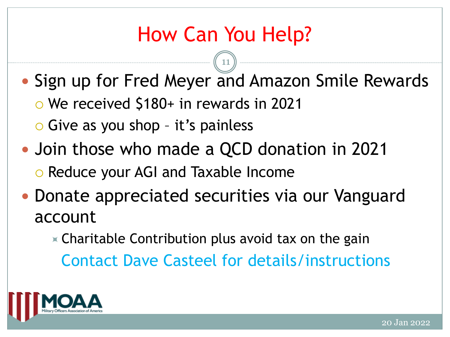### How Can You Help?

11

- Sign up for Fred Meyer and Amazon Smile Rewards We received \$180+ in rewards in 2021
	- Give as you shop it's painless
- Join those who made a QCD donation in 2021 o Reduce your AGI and Taxable Income
- Donate appreciated securities via our Vanguard account
	- $\ast$  Charitable Contribution plus avoid tax on the gain

Contact Dave Casteel for details/instructions

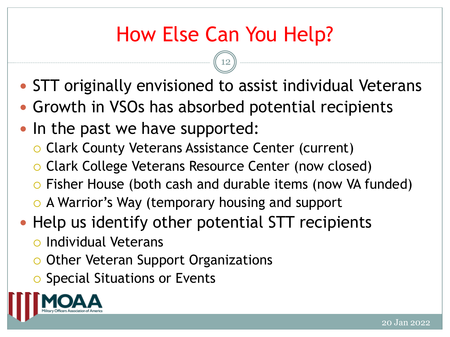### How Else Can You Help?

- STT originally envisioned to assist individual Veterans
- Growth in VSOs has absorbed potential recipients
- In the past we have supported:
	- Clark County Veterans Assistance Center (current)
	- Clark College Veterans Resource Center (now closed)
	- Fisher House (both cash and durable items (now VA funded)
	- o A Warrior's Way (temporary housing and support
- Help us identify other potential STT recipients
	- Individual Veterans
	- o Other Veteran Support Organizations
	- **O** Special Situations or Events

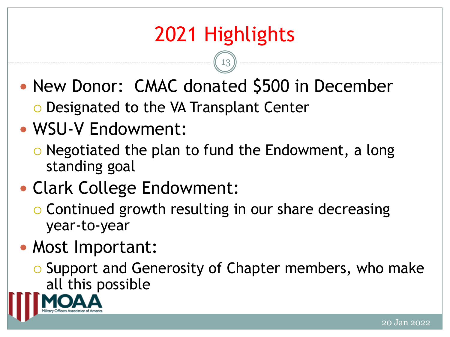### 2021 Highlights

13

- New Donor: CMAC donated \$500 in December o Designated to the VA Transplant Center
- WSU-V Endowment:
	- $\circ$  Negotiated the plan to fund the Endowment, a long standing goal

#### Clark College Endowment:

o Continued growth resulting in our share decreasing year-to-year

#### • Most Important:

o Support and Generosity of Chapter members, who make all this possible

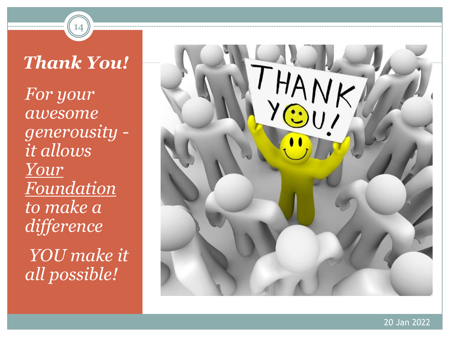*Thank You! For your awesome generousity it allows Your Foundation to make a difference* 

14

*YOU make it all possible!*